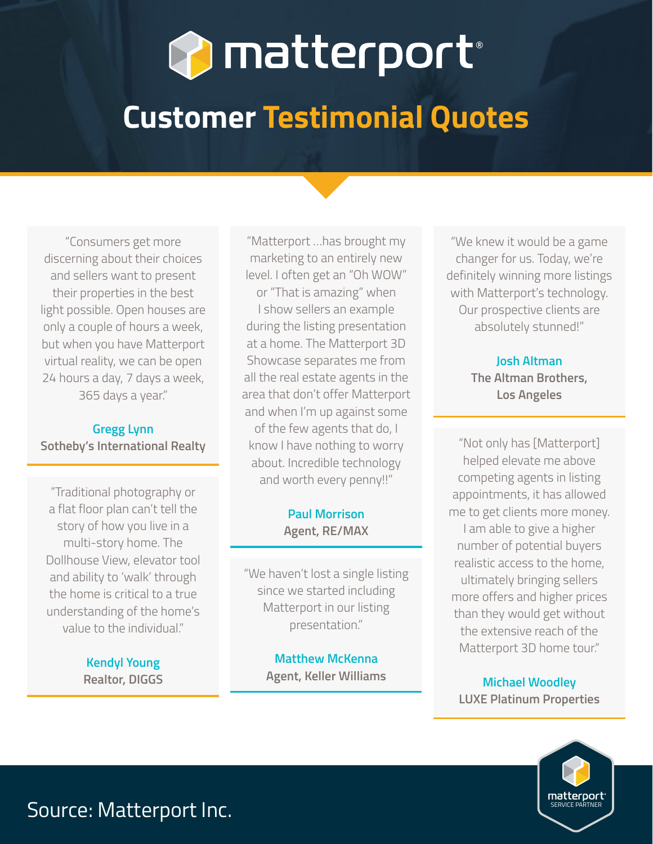# **P** matterport<sup>®</sup>

## **Customer Testimonial Quotes**

"Consumers get more discerning about their choices and sellers want to present their properties in the best light possible. Open houses are only a couple of hours a week, but when you have Matterport virtual reality, we can be open 24 hours a day, 7 days a week, 365 days a year."

#### **Gregg Lynn Sotheby's International Realty**

"Traditional photography or a flat floor plan can't tell the story of how you live in a multi-story home. The Dollhouse View, elevator tool and ability to 'walk' through the home is critical to a true understanding of the home's value to the individual."

> **Kendyl Young Realtor, DIGGS**

"Matterport …has brought my marketing to an entirely new level. I often get an "Oh WOW" or "That is amazing" when I show sellers an example during the listing presentation at a home. The Matterport 3D Showcase separates me from all the real estate agents in the area that don't offer Matterport and when I'm up against some of the few agents that do, I know I have nothing to worry about. Incredible technology and worth every penny!!"

#### **Paul Morrison Agent, RE/MAX**

"We haven't lost a single listing since we started including Matterport in our listing presentation."

> **Matthew McKenna Agent, Keller Williams**

"We knew it would be a game changer for us. Today, we're definitely winning more listings with Matterport's technology. Our prospective clients are absolutely stunned!"

#### **Josh Altman The Altman Brothers, Los Angeles**

"Not only has [Matterport] helped elevate me above competing agents in listing appointments, it has allowed me to get clients more money. I am able to give a higher number of potential buyers realistic access to the home, ultimately bringing sellers more offers and higher prices than they would get without the extensive reach of the Matterport 3D home tour."

**Michael Woodley LUXE Platinum Properties**



### Source: Matterport Inc.